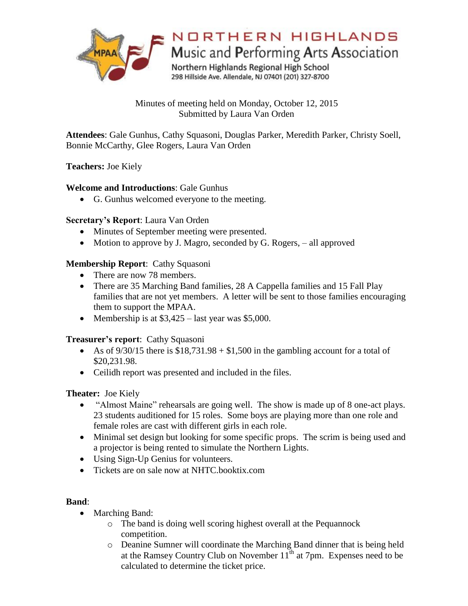

Minutes of meeting held on Monday, October 12, 2015 Submitted by Laura Van Orden

**Attendees**: Gale Gunhus, Cathy Squasoni, Douglas Parker, Meredith Parker, Christy Soell, Bonnie McCarthy, Glee Rogers, Laura Van Orden

## **Teachers:** Joe Kiely

## **Welcome and Introductions**: Gale Gunhus

G. Gunhus welcomed everyone to the meeting.

## **Secretary's Report**: Laura Van Orden

- Minutes of September meeting were presented.
- Motion to approve by J. Magro, seconded by G. Rogers, all approved

## **Membership Report**: Cathy Squasoni

- There are now 78 members.
- There are 35 Marching Band families, 28 A Cappella families and 15 Fall Play families that are not yet members. A letter will be sent to those families encouraging them to support the MPAA.
- Membership is at  $$3,425 -$  last year was \$5,000.

#### **Treasurer's report**: Cathy Squasoni

- As of  $9/30/15$  there is  $$18,731.98 + $1,500$  in the gambling account for a total of \$20,231.98.
- Ceilidh report was presented and included in the files.

## **Theater:** Joe Kiely

- "Almost Maine" rehearsals are going well. The show is made up of 8 one-act plays. 23 students auditioned for 15 roles. Some boys are playing more than one role and female roles are cast with different girls in each role.
- Minimal set design but looking for some specific props. The scrim is being used and a projector is being rented to simulate the Northern Lights.
- Using Sign-Up Genius for volunteers.
- Tickets are on sale now at NHTC booktix.com

#### **Band**:

- Marching Band:
	- o The band is doing well scoring highest overall at the Pequannock competition.
	- o Deanine Sumner will coordinate the Marching Band dinner that is being held at the Ramsey Country Club on November  $11<sup>th</sup>$  at 7pm. Expenses need to be calculated to determine the ticket price.